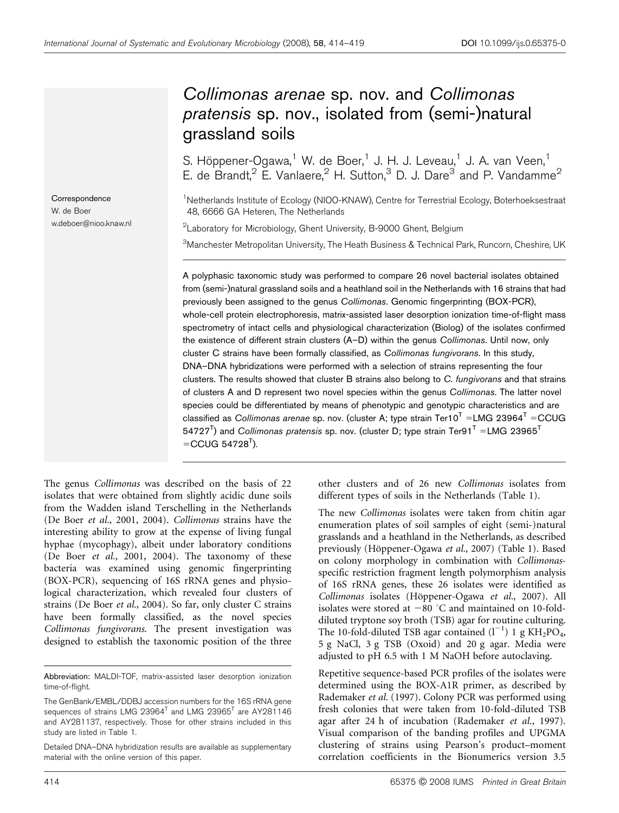# Collimonas arenae sp. nov. and Collimonas pratensis sp. nov., isolated from (semi-)natural grassland soils

S. Höppener-Ogawa,<sup>1</sup> W. de Boer,<sup>1</sup> J. H. J. Leveau,<sup>1</sup> J. A. van Veen,<sup>1</sup> E. de Brandt,<sup>2</sup> E. Vanlaere,<sup>2</sup> H. Sutton,<sup>3</sup> D. J. Dare<sup>3</sup> and P. Vandamme<sup>2</sup>

<sup>1</sup>Netherlands Institute of Ecology (NIOO-KNAW), Centre for Terrestrial Ecology, Boterhoeksestraat 48, 6666 GA Heteren, The Netherlands

<sup>2</sup> Laboratory for Microbiology, Ghent University, B-9000 Ghent, Belgium

 $^3$ Manchester Metropolitan University, The Heath Business & Technical Park, Runcorn, Cheshire, UK

A polyphasic taxonomic study was performed to compare 26 novel bacterial isolates obtained from (semi-)natural grassland soils and a heathland soil in the Netherlands with 16 strains that had previously been assigned to the genus Collimonas. Genomic fingerprinting (BOX-PCR), whole-cell protein electrophoresis, matrix-assisted laser desorption ionization time-of-flight mass spectrometry of intact cells and physiological characterization (Biolog) of the isolates confirmed the existence of different strain clusters (A–D) within the genus Collimonas. Until now, only cluster C strains have been formally classified, as Collimonas fungivorans. In this study, DNA–DNA hybridizations were performed with a selection of strains representing the four clusters. The results showed that cluster B strains also belong to C. fungivorans and that strains of clusters A and D represent two novel species within the genus Collimonas. The latter novel species could be differentiated by means of phenotypic and genotypic characteristics and are classified as Collimonas arenae sp. nov. (cluster A; type strain Ter10<sup>T</sup> =LMG 23964<sup>T</sup> =CCUG 54727<sup>T</sup>) and Collimonas pratensis sp. nov. (cluster D; type strain Ter91<sup>T</sup> =LMG 23965<sup>T</sup>  $=$ CCUG 54728<sup>T</sup>).

The genus Collimonas was described on the basis of 22 isolates that were obtained from slightly acidic dune soils from the Wadden island Terschelling in the Netherlands (De Boer et al., 2001, 2004). Collimonas strains have the interesting ability to grow at the expense of living fungal hyphae (mycophagy), albeit under laboratory conditions (De Boer et al., 2001, 2004). The taxonomy of these bacteria was examined using genomic fingerprinting (BOX-PCR), sequencing of 16S rRNA genes and physiological characterization, which revealed four clusters of strains (De Boer et al., 2004). So far, only cluster C strains have been formally classified, as the novel species Collimonas fungivorans. The present investigation was designed to establish the taxonomic position of the three

**Correspondence** W. de Boer

w.deboer@nioo.knaw.nl

other clusters and of 26 new Collimonas isolates from different types of soils in the Netherlands (Table 1).

The new Collimonas isolates were taken from chitin agar enumeration plates of soil samples of eight (semi-)natural grasslands and a heathland in the Netherlands, as described previously (Höppener-Ogawa et al., 2007) (Table 1). Based on colony morphology in combination with Collimonasspecific restriction fragment length polymorphism analysis of 16S rRNA genes, these 26 isolates were identified as Collimonas isolates (Höppener-Ogawa et al., 2007). All isolates were stored at  $-80$  °C and maintained on 10-folddiluted tryptone soy broth (TSB) agar for routine culturing. The 10-fold-diluted TSB agar contained  $(l^{-1})$  1 g KH<sub>2</sub>PO<sub>4</sub>, 5 g NaCl, 3 g TSB (Oxoid) and 20 g agar. Media were adjusted to pH 6.5 with 1 M NaOH before autoclaving.

Repetitive sequence-based PCR profiles of the isolates were determined using the BOX-A1R primer, as described by Rademaker et al. (1997). Colony PCR was performed using fresh colonies that were taken from 10-fold-diluted TSB agar after 24 h of incubation (Rademaker et al., 1997). Visual comparison of the banding profiles and UPGMA clustering of strains using Pearson's product–moment correlation coefficients in the Bionumerics version 3.5

Abbreviation: MALDI-TOF, matrix-assisted laser desorption ionization time-of-flight.

The GenBank/EMBL/DDBJ accession numbers for the 16S rRNA gene sequences of strains LMG  $23964<sup>T</sup>$  and LMG  $23965<sup>T</sup>$  are AY281146 and AY281137, respectively. Those for other strains included in this study are listed in Table 1.

Detailed DNA–DNA hybridization results are available as supplementary material with the online version of this paper.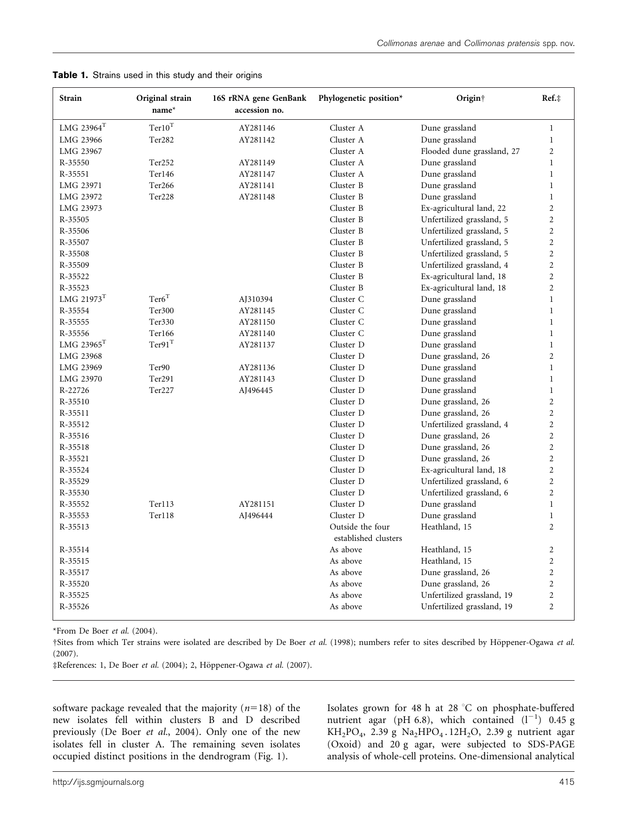| <b>Strain</b>             | Original strain<br>$name*$  | 16S rRNA gene GenBank<br>accession no. | Phylogenetic position*                   | Origin <sup>†</sup>        | Ref.‡          |
|---------------------------|-----------------------------|----------------------------------------|------------------------------------------|----------------------------|----------------|
| $\rm LMG$ 23964 $\rm ^T$  | $\mathrm{Ter}10^\mathrm{T}$ | AY281146                               | Cluster A                                | Dune grassland             | $\mathbf{1}$   |
| LMG 23966                 | Ter282                      | AY281142                               | Cluster A                                | Dune grassland             | $\mathbf{1}$   |
| LMG 23967                 |                             |                                        | Cluster A                                | Flooded dune grassland, 27 | $\overline{2}$ |
| R-35550                   | Ter252                      | AY281149                               | Cluster A                                | Dune grassland             | $\mathbf{1}$   |
| R-35551                   | Ter146                      | AY281147                               | Cluster A                                | Dune grassland             | $\mathbf{1}$   |
| LMG 23971                 | Ter <sub>266</sub>          | AY281141                               | Cluster B                                | Dune grassland             | $\mathbf{1}$   |
| LMG 23972                 | Ter228                      | AY281148                               | Cluster B                                | Dune grassland             | $\,1$          |
| LMG 23973                 |                             |                                        | Cluster B                                | Ex-agricultural land, 22   | $\overline{c}$ |
| R-35505                   |                             |                                        | Cluster B                                | Unfertilized grassland, 5  | $\overline{c}$ |
| R-35506                   |                             |                                        | Cluster B                                | Unfertilized grassland, 5  | $\overline{2}$ |
| R-35507                   |                             |                                        | Cluster B                                | Unfertilized grassland, 5  | $\overline{2}$ |
| R-35508                   |                             |                                        | Cluster B                                | Unfertilized grassland, 5  | $\overline{c}$ |
| R-35509                   |                             |                                        | Cluster B                                | Unfertilized grassland, 4  | $\overline{2}$ |
| R-35522                   |                             |                                        | Cluster B                                | Ex-agricultural land, 18   | $\overline{2}$ |
| R-35523                   |                             |                                        | Cluster B                                | Ex-agricultural land, 18   | $\overline{2}$ |
| LMG $21973$ <sup>T</sup>  | Ter6 <sup>T</sup>           | AJ310394                               | Cluster C                                | Dune grassland             | $\mathbf{1}$   |
| R-35554                   | Ter300                      | AY281145                               | Cluster C                                | Dune grassland             | $\mathbf{1}$   |
| R-35555                   | Ter330                      | AY281150                               | Cluster C                                | Dune grassland             | $\mathbf{1}$   |
| R-35556                   | Ter166                      | AY281140                               | Cluster C                                | Dune grassland             | $\mathbf{1}$   |
| $\rm LMG$ $\rm 23965^{T}$ | $Ter91$ <sup>T</sup>        | AY281137                               | Cluster D                                | Dune grassland             | $\mathbf{1}$   |
| LMG 23968                 |                             |                                        | Cluster D                                | Dune grassland, 26         | $\overline{c}$ |
| LMG 23969                 | Ter <sub>90</sub>           | AY281136                               | Cluster D                                | Dune grassland             | $\mathbf{1}$   |
| LMG 23970                 | Ter291                      | AY281143                               | Cluster D                                | Dune grassland             | $\mathbf{1}$   |
| R-22726                   | Ter227                      | AJ496445                               | Cluster D                                | Dune grassland             | $\mathbf{1}$   |
| R-35510                   |                             |                                        | Cluster D                                | Dune grassland, 26         | $\overline{c}$ |
| R-35511                   |                             |                                        | Cluster D                                | Dune grassland, 26         | $\overline{2}$ |
| R-35512                   |                             |                                        | Cluster D                                | Unfertilized grassland, 4  | $\overline{c}$ |
| R-35516                   |                             |                                        | Cluster D                                | Dune grassland, 26         | $\overline{2}$ |
| R-35518                   |                             |                                        | Cluster D                                | Dune grassland, 26         | $\overline{2}$ |
| R-35521                   |                             |                                        | Cluster D                                | Dune grassland, 26         | $\overline{2}$ |
| R-35524                   |                             |                                        | Cluster D                                | Ex-agricultural land, 18   | $\overline{2}$ |
| R-35529                   |                             |                                        | Cluster D                                | Unfertilized grassland, 6  | $\overline{2}$ |
| R-35530                   |                             |                                        | Cluster D                                | Unfertilized grassland, 6  | $\overline{2}$ |
| R-35552                   | Ter113                      | AY281151                               | Cluster D                                | Dune grassland             | $\mathbf{1}$   |
| R-35553                   | Ter118                      | AJ496444                               | Cluster D                                | Dune grassland             | $\mathbf{1}$   |
| R-35513                   |                             |                                        | Outside the four<br>established clusters | Heathland, 15              | $\overline{2}$ |
| R-35514                   |                             |                                        | As above                                 | Heathland, 15              | $\overline{2}$ |
| R-35515                   |                             |                                        | As above                                 | Heathland, 15              | $\overline{2}$ |
| R-35517                   |                             |                                        | As above                                 | Dune grassland, 26         | $\overline{c}$ |
| R-35520                   |                             |                                        | As above                                 | Dune grassland, 26         | $\overline{c}$ |
| R-35525                   |                             |                                        | As above                                 | Unfertilized grassland, 19 | $\overline{c}$ |
| R-35526                   |                             |                                        | As above                                 | Unfertilized grassland, 19 | $\overline{c}$ |

Table 1. Strains used in this study and their origins

\*From De Boer et al. (2004).

†Sites from which Ter strains were isolated are described by De Boer et al. (1998); numbers refer to sites described by Höppener-Ogawa et al. (2007).

‡References: 1, De Boer et al. (2004); 2, Höppener-Ogawa et al. (2007).

software package revealed that the majority ( $n=18$ ) of the new isolates fell within clusters B and D described previously (De Boer et al., 2004). Only one of the new isolates fell in cluster A. The remaining seven isolates occupied distinct positions in the dendrogram (Fig. 1).

Isolates grown for 48 h at 28  $^{\circ}$ C on phosphate-buffered nutrient agar (pH 6.8), which contained  $(l^{-1})$  0.45 g KH<sub>2</sub>PO<sub>4</sub>, 2.39 g Na<sub>2</sub>HPO<sub>4</sub>. 12H<sub>2</sub>O, 2.39 g nutrient agar (Oxoid) and 20 g agar, were subjected to SDS-PAGE analysis of whole-cell proteins. One-dimensional analytical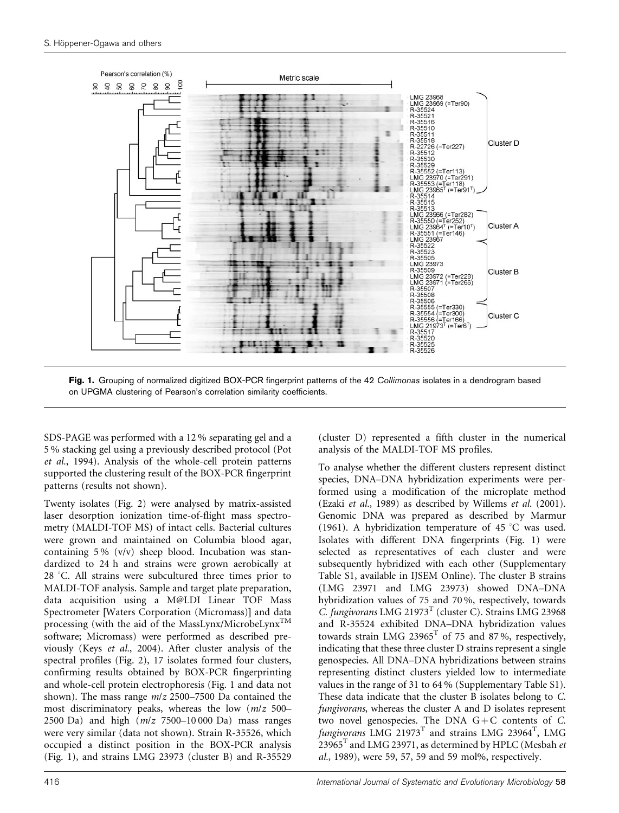

Fig. 1. Grouping of normalized digitized BOX-PCR fingerprint patterns of the 42 Collimonas isolates in a dendrogram based on UPGMA clustering of Pearson's correlation similarity coefficients.

SDS-PAGE was performed with a 12 % separating gel and a 5 % stacking gel using a previously described protocol (Pot et al., 1994). Analysis of the whole-cell protein patterns supported the clustering result of the BOX-PCR fingerprint patterns (results not shown).

Twenty isolates (Fig. 2) were analysed by matrix-assisted laser desorption ionization time-of-flight mass spectrometry (MALDI-TOF MS) of intact cells. Bacterial cultures were grown and maintained on Columbia blood agar, containing 5 % (v/v) sheep blood. Incubation was standardized to 24 h and strains were grown aerobically at  $28$  °C. All strains were subcultured three times prior to MALDI-TOF analysis. Sample and target plate preparation, data acquisition using a M@LDI Linear TOF Mass Spectrometer [Waters Corporation (Micromass)] and data processing (with the aid of the MassLynx/MicrobeLynx<sup>TM</sup> software; Micromass) were performed as described previously (Keys et al., 2004). After cluster analysis of the spectral profiles (Fig. 2), 17 isolates formed four clusters, confirming results obtained by BOX-PCR fingerprinting and whole-cell protein electrophoresis (Fig. 1 and data not shown). The mass range m/z 2500–7500 Da contained the most discriminatory peaks, whereas the low  $(m/z)$  500– 2500 Da) and high  $(m/z 7500-10000$  Da) mass ranges were very similar (data not shown). Strain R-35526, which occupied a distinct position in the BOX-PCR analysis (Fig. 1), and strains LMG 23973 (cluster B) and R-35529

(cluster D) represented a fifth cluster in the numerical analysis of the MALDI-TOF MS profiles.

To analyse whether the different clusters represent distinct species, DNA–DNA hybridization experiments were performed using a modification of the microplate method (Ezaki et al., 1989) as described by Willems et al. (2001). Genomic DNA was prepared as described by Marmur (1961). A hybridization temperature of 45  $\degree$ C was used. Isolates with different DNA fingerprints (Fig. 1) were selected as representatives of each cluster and were subsequently hybridized with each other (Supplementary Table S1, available in IJSEM Online). The cluster B strains (LMG 23971 and LMG 23973) showed DNA–DNA hybridization values of 75 and 70 %, respectively, towards C. fungivorans LMG 21973 $^T$  (cluster C). Strains LMG 23968 and R-35524 exhibited DNA–DNA hybridization values towards strain LMG 23965<sup>T</sup> of 75 and 87%, respectively, indicating that these three cluster D strains represent a single genospecies. All DNA–DNA hybridizations between strains representing distinct clusters yielded low to intermediate values in the range of 31 to 64 % (Supplementary Table S1). These data indicate that the cluster B isolates belong to C. fungivorans, whereas the cluster A and D isolates represent two novel genospecies. The DNA G+C contents of C. fungivorans  $LMG$  21973<sup>T</sup> and strains  $LMG$  23964<sup>T</sup>, LMG  $23965$ <sup>T</sup> and LMG 23971, as determined by HPLC (Mesbah et al., 1989), were 59, 57, 59 and 59 mol%, respectively.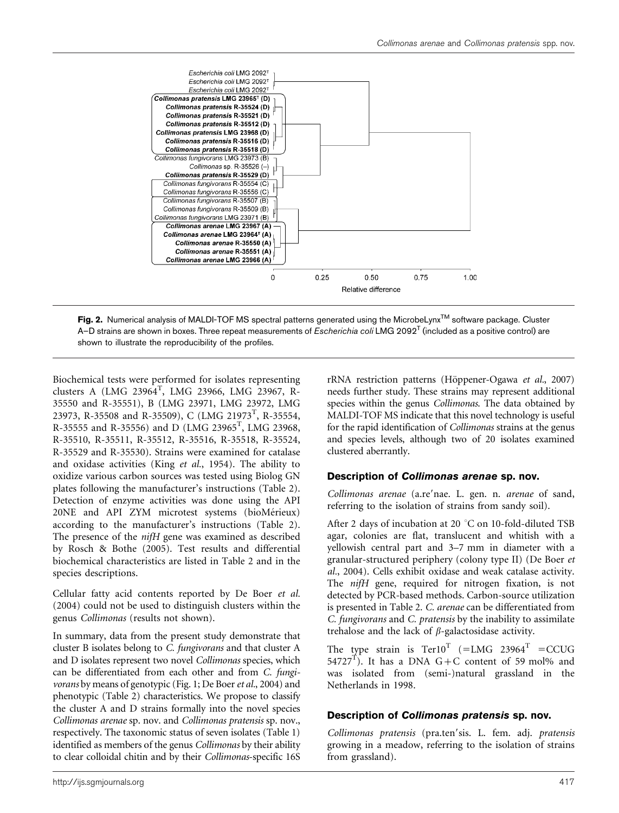

Fig. 2. Numerical analysis of MALDI-TOF MS spectral patterns generated using the MicrobeLynx<sup>TM</sup> software package. Cluster A–D strains are shown in boxes. Three repeat measurements of *Escherichia coli* LMG 2092<sup>T</sup> (included as a positive control) are shown to illustrate the reproducibility of the profiles.

Biochemical tests were performed for isolates representing clusters A (LMG 23964<sup>T</sup>, LMG 23966, LMG 23967, R-35550 and R-35551), B (LMG 23971, LMG 23972, LMG 23973, R-35508 and R-35509), C (LMG 21973<sup>T</sup>, R-35554, R-35555 and R-35556) and D (LMG 23965<sup>T</sup>, LMG 23968, R-35510, R-35511, R-35512, R-35516, R-35518, R-35524, R-35529 and R-35530). Strains were examined for catalase and oxidase activities (King et al., 1954). The ability to oxidize various carbon sources was tested using Biolog GN plates following the manufacturer's instructions (Table 2). Detection of enzyme activities was done using the API 20NE and API ZYM microtest systems (bioMérieux) according to the manufacturer's instructions (Table 2). The presence of the *nifH* gene was examined as described by Rosch & Bothe (2005). Test results and differential biochemical characteristics are listed in Table 2 and in the species descriptions.

Cellular fatty acid contents reported by De Boer et al. (2004) could not be used to distinguish clusters within the genus Collimonas (results not shown).

In summary, data from the present study demonstrate that cluster B isolates belong to C. fungivorans and that cluster A and D isolates represent two novel Collimonas species, which can be differentiated from each other and from C. fungivorans by means of genotypic (Fig. 1; De Boer et al., 2004) and phenotypic (Table 2) characteristics. We propose to classify the cluster A and D strains formally into the novel species Collimonas arenae sp. nov. and Collimonas pratensis sp. nov., respectively. The taxonomic status of seven isolates (Table 1) identified as members of the genus *Collimonas* by their ability to clear colloidal chitin and by their Collimonas-specific 16S

rRNA restriction patterns (Höppener-Ogawa et al., 2007) needs further study. These strains may represent additional species within the genus Collimonas. The data obtained by MALDI-TOF MS indicate that this novel technology is useful for the rapid identification of Collimonas strains at the genus and species levels, although two of 20 isolates examined clustered aberrantly.

#### Description of Collimonas arenae sp. nov.

Collimonas arenae (a.re'nae. L. gen. n. arenae of sand, referring to the isolation of strains from sandy soil).

After 2 days of incubation at 20  $^{\circ}$ C on 10-fold-diluted TSB agar, colonies are flat, translucent and whitish with a yellowish central part and 3–7 mm in diameter with a granular-structured periphery (colony type II) (De Boer et al., 2004). Cells exhibit oxidase and weak catalase activity. The nifH gene, required for nitrogen fixation, is not detected by PCR-based methods. Carbon-source utilization is presented in Table 2. C. arenae can be differentiated from C. fungivorans and C. pratensis by the inability to assimilate trehalose and the lack of  $\beta$ -galactosidase activity.

The type strain is  $Ter10<sup>T</sup> (=LMG 23964<sup>T</sup> = CCUG$ 54727<sup>T</sup>). It has a DNA G+C content of 59 mol% and was isolated from (semi-)natural grassland in the Netherlands in 1998.

## Description of Collimonas pratensis sp. nov.

Collimonas pratensis (pra.ten'sis. L. fem. adj. pratensis growing in a meadow, referring to the isolation of strains from grassland).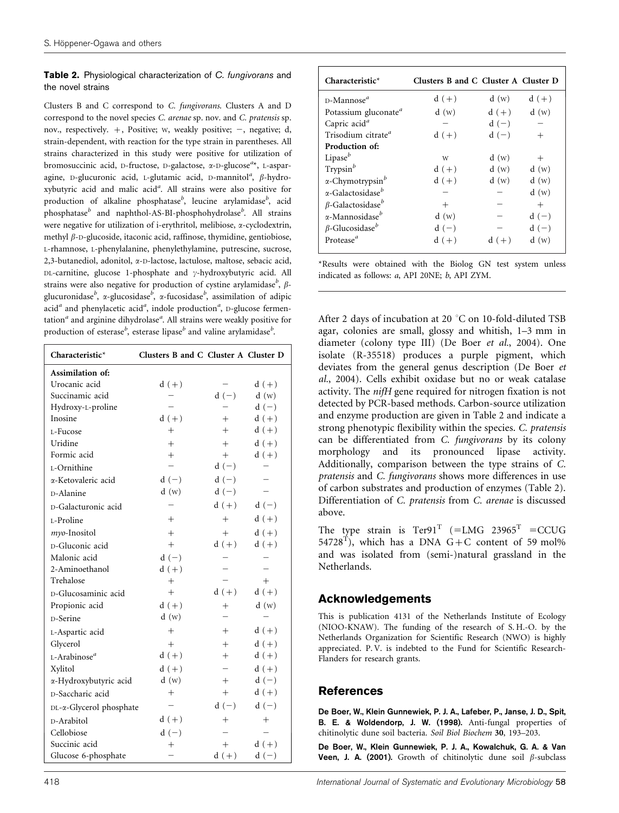#### Table 2. Physiological characterization of C. fungivorans and the novel strains

Clusters B and C correspond to C. fungivorans. Clusters A and D correspond to the novel species C. arenae sp. nov. and C. pratensis sp. nov., respectively.  $+$ , Positive; w, weakly positive;  $-$ , negative; d, strain-dependent, with reaction for the type strain in parentheses. All strains characterized in this study were positive for utilization of bromosuccinic acid, D-fructose, D-galactose, x-D-glucose<sup>a\*</sup>, L-asparagine, D-glucuronic acid, L-glutamic acid, D-mannitol<sup>a</sup>,  $\beta$ -hydroxybutyric acid and malic acid<sup>a</sup>. All strains were also positive for production of alkaline phosphatase<sup>b</sup>, leucine arylamidase<sup>b</sup>, acid  $\mathbf p$ hosphatase $^b$  and naphthol-AS-BI-phosphohydrolase $^b$ . All strains were negative for utilization of i-erythritol, melibiose, a-cyclodextrin, methyl  $\beta$ -D-glucoside, itaconic acid, raffinose, thymidine, gentiobiose, L-rhamnose, L-phenylalanine, phenylethylamine, putrescine, sucrose, 2,3-butanediol, adonitol, a-D-lactose, lactulose, maltose, sebacic acid, DL-carnitine, glucose 1-phosphate and  $\gamma$ -hydroxybutyric acid. All strains were also negative for production of cystine arylamidase<sup>b</sup>,  $\beta$ glucuronidase $^b$ , α-glucosidase $^b$ , α-fucosidase $^b$ , assimilation of adipic acid<sup>a</sup> and phenylacetic acid<sup>a</sup>, indole production<sup>a</sup>, D-glucose fermentation<sup>a</sup> and arginine dihydrolase<sup>a</sup>. All strains were weakly positive for production of esterase<sup>b</sup>, esterase lipase<sup>b</sup> and valine arylamidase<sup>b</sup>.

| Characteristic*                 | Clusters B and C Cluster A Cluster D |         |                    |
|---------------------------------|--------------------------------------|---------|--------------------|
| Assimilation of:                |                                      |         |                    |
| Urocanic acid                   | $d (+)$                              |         | $d (+)$            |
| Succinamic acid                 |                                      | $d(-)$  | d(w)               |
| Hydroxy-L-proline               |                                      |         | $\mathbf d$ $(-)$  |
| Inosine                         | $d (+)$                              | $+$     | $d (+)$            |
| L-Fucose                        | $^{+}$                               | $^{+}$  | $d (+)$            |
| Uridine                         | $+$                                  | $+$     | $d (+)$            |
| Formic acid                     | $^{+}$                               | $+$     | $d (+)$            |
| L-Ornithine                     |                                      | $d(-)$  |                    |
| α-Ketovaleric acid              | $d(-)$                               | $d(-)$  |                    |
| D-Alanine                       | d(w)                                 | $d(-)$  |                    |
| D-Galacturonic acid             |                                      | $d (+)$ | $d(-)$             |
| L-Proline                       | $^{+}$                               | $^{+}$  | $d (+)$            |
| myo-Inositol                    | $+$                                  | $+$     | $d (+)$            |
| D-Gluconic acid                 | $^{+}$                               | $d (+)$ | $d (+)$            |
| Malonic acid                    | $d\ (-)$                             |         |                    |
| 2-Aminoethanol                  | $d (+)$                              |         |                    |
| Trehalose                       | $^{+}$                               |         | $+$                |
| D-Glucosaminic acid             | $^{+}$                               | $d (+)$ | $d (+)$            |
| Propionic acid                  | $d (+)$                              | $^{+}$  | d(w)               |
| D-Serine                        | d(w)                                 |         |                    |
| L-Aspartic acid                 | $^{+}$                               | $+$     | $d (+)$            |
| Glycerol                        | $^{+}$                               | $^{+}$  | $d (+)$            |
| $L$ -Arabinose <sup>a</sup>     | $d (+)$                              | $+$     | $d (+)$            |
| Xylitol                         | $d (+)$                              |         | $d (+)$            |
| α-Hydroxybutyric acid           | d(w)                                 | $^{+}$  | $d(-)$             |
| D-Saccharic acid                | $\hspace{0.1mm} +$                   | $^{+}$  | $d (+)$            |
| $DL-\alpha$ -Glycerol phosphate |                                      | $d(-)$  | $d(-)$             |
| D-Arabitol                      | $d (+)$                              | $^{+}$  | $\hspace{0.1mm} +$ |
| Cellobiose                      | $d(-)$                               |         |                    |
| Succinic acid                   | $^{+}$                               | $^{+}$  | $d (+)$            |
| Glucose 6-phosphate             |                                      | $d (+)$ | $d(-)$             |

| $Characteristic*$                    | Clusters B and C Cluster A Cluster D |         |         |
|--------------------------------------|--------------------------------------|---------|---------|
| D-Mannose <sup>a</sup>               | $d (+)$                              | d(w)    | $d (+)$ |
| Potassium gluconate <sup>a</sup>     | d(w)                                 | $d (+)$ | d(w)    |
| Capric acid <sup>a</sup>             |                                      | $d(-)$  |         |
| Trisodium citrate <sup>a</sup>       | $d (+)$                              | $d(-)$  | $^{+}$  |
| Production of:                       |                                      |         |         |
| Lipase $b$                           | W                                    | d(w)    | $+$     |
| Trypsin <sup>b</sup>                 | $d (+)$                              | d(w)    | d(w)    |
| $\alpha$ -Chymotrypsin <sup>b</sup>  | $d (+)$                              | d(w)    | d(w)    |
| $\alpha$ -Galactosidase <sup>b</sup> |                                      |         | d(w)    |
| $\beta$ -Galactosidase <sup>b</sup>  | $^{+}$                               |         | $^{+}$  |
| $\alpha$ -Mannosidase <sup>b</sup>   | d(w)                                 |         | $d(-)$  |
| $\beta$ -Glucosidase <sup>b</sup>    | $d(-)$                               |         | $d(-)$  |
| Protease <sup>a</sup>                | $d (+)$                              | $d (+)$ | d(w)    |

\*Results were obtained with the Biolog GN test system unless indicated as follows: a, API 20NE; b, API ZYM.

After 2 days of incubation at 20  $^{\circ}$ C on 10-fold-diluted TSB agar, colonies are small, glossy and whitish, 1–3 mm in diameter (colony type III) (De Boer et al., 2004). One isolate (R-35518) produces a purple pigment, which deviates from the general genus description (De Boer et al., 2004). Cells exhibit oxidase but no or weak catalase activity. The nifH gene required for nitrogen fixation is not detected by PCR-based methods. Carbon-source utilization and enzyme production are given in Table 2 and indicate a strong phenotypic flexibility within the species. C. pratensis can be differentiated from C. fungivorans by its colony morphology and its pronounced lipase activity. Additionally, comparison between the type strains of C. pratensis and C. fungivorans shows more differences in use of carbon substrates and production of enzymes (Table 2). Differentiation of C. pratensis from C. arenae is discussed above.

The type strain is  $Ter91<sup>T</sup> (=LMG 23965<sup>T</sup> = CCUG$ 54728<sup>T</sup>), which has a DNA G+C content of 59 mol% and was isolated from (semi-)natural grassland in the Netherlands.

# Acknowledgements

This is publication 4131 of the Netherlands Institute of Ecology (NIOO-KNAW). The funding of the research of S. H.-O. by the Netherlands Organization for Scientific Research (NWO) is highly appreciated. P. V. is indebted to the Fund for Scientific Research-Flanders for research grants.

## References

De Boer, W., Klein Gunnewiek, P. J. A., Lafeber, P., Janse, J. D., Spit, B. E. & Woldendorp, J. W. (1998). Anti-fungal properties of chitinolytic dune soil bacteria. Soil Biol Biochem 30, 193–203.

De Boer, W., Klein Gunnewiek, P. J. A., Kowalchuk, G. A. & Van Veen, J. A. (2001). Growth of chitinolytic dune soil  $\beta$ -subclass